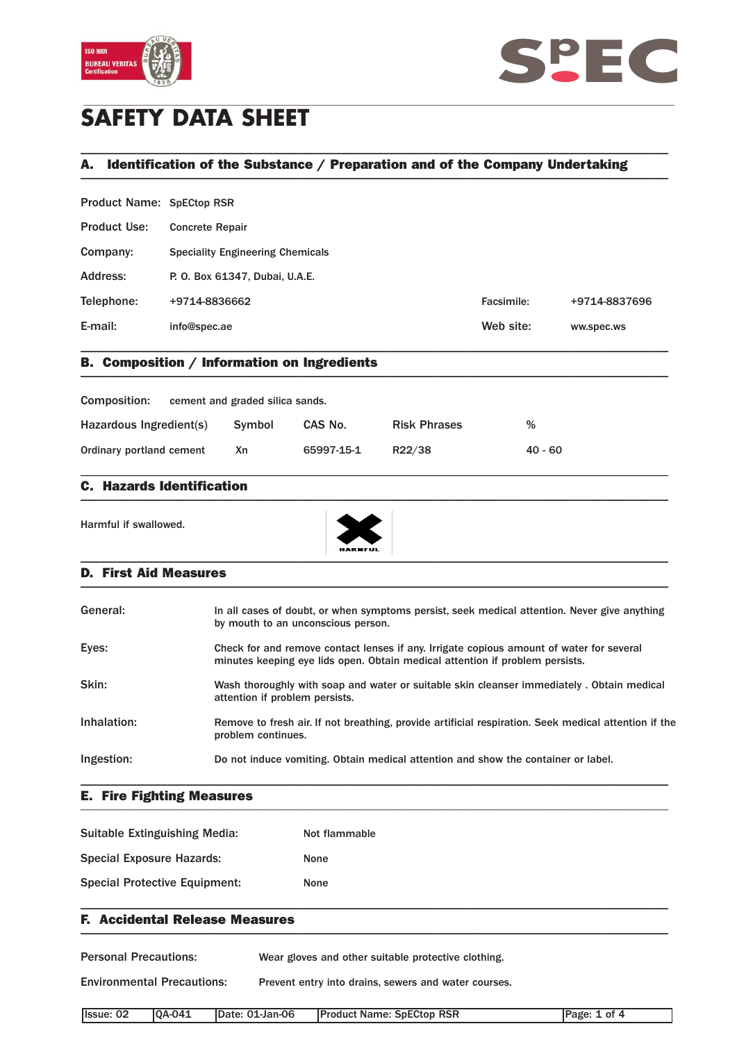



# **SAFETY DATA SHEET**

## A. Identification of the Substance / Preparation and of the Company Undertaking \_\_\_\_\_\_\_\_\_\_\_\_\_\_\_\_\_\_\_\_\_\_\_\_\_\_\_\_\_\_\_\_\_\_\_\_\_\_\_\_\_\_\_\_\_\_\_\_\_\_\_\_\_\_\_\_\_\_\_\_\_\_\_\_\_\_\_\_\_\_\_\_\_\_\_\_\_\_\_\_\_\_\_\_\_\_\_\_\_\_\_\_\_\_\_

\_\_\_\_\_\_\_\_\_\_\_\_\_\_\_\_\_\_\_\_\_\_\_\_\_\_\_\_\_\_\_\_\_\_\_\_\_\_\_\_\_\_\_\_\_\_\_\_\_\_\_\_\_\_\_\_\_\_\_\_\_\_\_\_\_\_\_\_\_\_\_\_\_\_\_\_\_\_\_\_\_\_\_\_\_\_\_\_\_\_\_\_\_\_\_

| <b>Product Name: SpECtop RSR</b> |                                         |            |               |  |  |
|----------------------------------|-----------------------------------------|------------|---------------|--|--|
| <b>Product Use:</b>              | <b>Concrete Repair</b>                  |            |               |  |  |
| Company:                         | <b>Speciality Engineering Chemicals</b> |            |               |  |  |
| Address:                         | P. O. Box 61347, Dubai, U.A.E.          |            |               |  |  |
| Telephone:                       | +9714-8836662                           | Facsimile: | +9714-8837696 |  |  |
| E-mail:                          | info@spec.ae                            | Web site:  | ww.spec.ws    |  |  |
|                                  |                                         |            |               |  |  |

### B. Composition / Information on Ingredients \_\_\_\_\_\_\_\_\_\_\_\_\_\_\_\_\_\_\_\_\_\_\_\_\_\_\_\_\_\_\_\_\_\_\_\_\_\_\_\_\_\_\_\_\_\_\_\_\_\_\_\_\_\_\_\_\_\_\_\_\_\_\_\_\_\_\_\_\_\_\_\_\_\_\_\_\_\_\_\_\_\_\_\_\_\_\_\_\_\_\_\_\_\_\_

| Composition:             | cement and graded silica sands. |            |                     |           |
|--------------------------|---------------------------------|------------|---------------------|-----------|
| Hazardous Ingredient(s)  | Symbol                          | CAS No.    | <b>Risk Phrases</b> | %         |
| Ordinary portland cement | Χn                              | 65997-15-1 | R22/38              | $40 - 60$ |

\_\_\_\_\_\_\_\_\_\_\_\_\_\_\_\_\_\_\_\_\_\_\_\_\_\_\_\_\_\_\_\_\_\_\_\_\_\_\_\_\_\_\_\_\_\_\_\_\_\_\_\_\_\_\_\_\_\_\_\_\_\_\_\_\_\_\_\_\_\_\_\_\_\_\_\_\_\_\_\_\_\_\_\_\_\_\_\_\_\_\_\_\_\_\_

### C. Hazards Identification  $\blacksquare$

Harmful if swallowed.



#### D. First Aid Measures \_\_\_\_\_\_\_\_\_\_\_\_\_\_\_\_\_\_\_\_\_\_\_\_\_\_\_\_\_\_\_\_\_\_\_\_\_\_\_\_\_\_\_\_\_\_\_\_\_\_\_\_\_\_\_\_\_\_\_\_\_\_\_\_\_\_\_\_\_\_\_\_\_\_\_\_\_\_\_\_\_\_\_\_\_\_\_\_\_\_\_\_\_\_\_

| In all cases of doubt, or when symptoms persist, seek medical attention. Never give anything<br>by mouth to an unconscious person.                                       |
|--------------------------------------------------------------------------------------------------------------------------------------------------------------------------|
| Check for and remove contact lenses if any. Irrigate copious amount of water for several<br>minutes keeping eye lids open. Obtain medical attention if problem persists. |
| Wash thoroughly with soap and water or suitable skin cleanser immediately. Obtain medical<br>attention if problem persists.                                              |
| Remove to fresh air. If not breathing, provide artificial respiration. Seek medical attention if the<br>problem continues.                                               |
| Do not induce vomiting. Obtain medical attention and show the container or label.                                                                                        |
|                                                                                                                                                                          |

#### E. Fire Fighting Measures \_\_\_\_\_\_\_\_\_\_\_\_\_\_\_\_\_\_\_\_\_\_\_\_\_\_\_\_\_\_\_\_\_\_\_\_\_\_\_\_\_\_\_\_\_\_\_\_\_\_\_\_\_\_\_\_\_\_\_\_\_\_\_\_\_\_\_\_\_\_\_\_\_\_\_\_\_\_\_\_\_\_\_\_\_\_\_\_\_\_\_\_\_\_\_

| Suitable Extinguishing Media:        | Not flammable |
|--------------------------------------|---------------|
| <b>Special Exposure Hazards:</b>     | <b>None</b>   |
| <b>Special Protective Equipment:</b> | None          |

### F. Accidental Release Measures  $\blacksquare$

Personal Precautions: Wear gloves and other suitable protective clothing. Environmental Precautions: Prevent entry into drains, sewers and water courses. Issue: 02 QA-041 Date: 01-Jan-06 Product Name: SpECtop RSR Page: 1 of 4

\_\_\_\_\_\_\_\_\_\_\_\_\_\_\_\_\_\_\_\_\_\_\_\_\_\_\_\_\_\_\_\_\_\_\_\_\_\_\_\_\_\_\_\_\_\_\_\_\_\_\_\_\_\_\_\_\_\_\_\_\_\_\_\_\_\_\_\_\_\_\_\_\_\_\_\_\_\_\_\_\_\_\_\_\_\_\_\_\_\_\_\_\_\_\_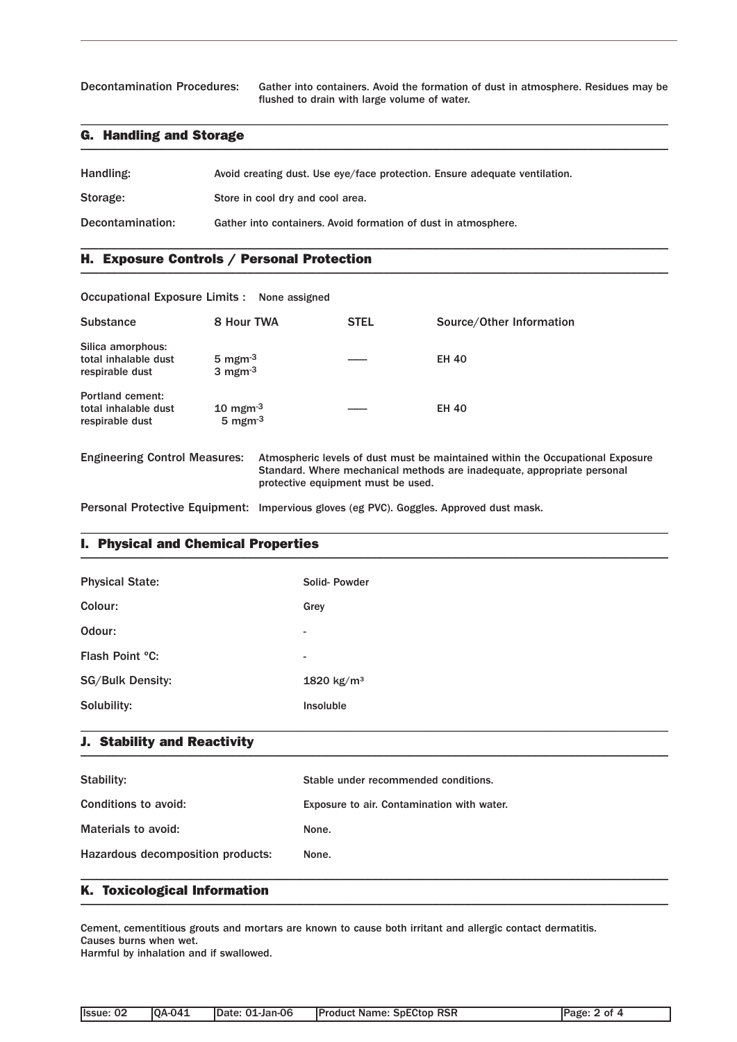Decontamination Procedures: Gather into containers. Avoid the formation of dust in atmosphere. Residues may be flushed to drain with large volume of water.

### G. Handling and Storage \_\_\_\_\_\_\_\_\_\_\_\_\_\_\_\_\_\_\_\_\_\_\_\_\_\_\_\_\_\_\_\_\_\_\_\_\_\_\_\_\_\_\_\_\_\_\_\_\_\_\_\_\_\_\_\_\_\_\_\_\_\_\_\_\_\_\_\_\_\_\_\_\_\_\_\_\_\_\_\_\_\_\_\_\_\_\_\_\_\_\_\_\_\_\_

| Handling:        | Avoid creating dust. Use eye/face protection. Ensure adequate ventilation. |
|------------------|----------------------------------------------------------------------------|
| Storage:         | Store in cool dry and cool area.                                           |
| Decontamination: | Gather into containers. Avoid formation of dust in atmosphere.             |

\_\_\_\_\_\_\_\_\_\_\_\_\_\_\_\_\_\_\_\_\_\_\_\_\_\_\_\_\_\_\_\_\_\_\_\_\_\_\_\_\_\_\_\_\_\_\_\_\_\_\_\_\_\_\_\_\_\_\_\_\_\_\_\_\_\_\_\_\_\_\_\_\_\_\_\_\_\_\_\_\_\_\_\_\_\_\_\_\_\_\_\_\_\_\_

\_\_\_\_\_\_\_\_\_\_\_\_\_\_\_\_\_\_\_\_\_\_\_\_\_\_\_\_\_\_\_\_\_\_\_\_\_\_\_\_\_\_\_\_\_\_\_\_\_\_\_\_\_\_\_\_\_\_\_\_\_\_\_\_\_\_\_\_\_\_\_\_\_\_\_\_\_\_\_\_\_\_\_\_\_\_\_\_\_\_\_\_\_\_\_

### H. Exposure Controls / Personal Protection \_\_\_\_\_\_\_\_\_\_\_\_\_\_\_\_\_\_\_\_\_\_\_\_\_\_\_\_\_\_\_\_\_\_\_\_\_\_\_\_\_\_\_\_\_\_\_\_\_\_\_\_\_\_\_\_\_\_\_\_\_\_\_\_\_\_\_\_\_\_\_\_\_\_\_\_\_\_\_\_\_\_\_\_\_\_\_\_\_\_\_\_\_\_\_

| Occupational Exposure Limits : None assigned                       |                                                               |                                    |                                                                                                                                                           |
|--------------------------------------------------------------------|---------------------------------------------------------------|------------------------------------|-----------------------------------------------------------------------------------------------------------------------------------------------------------|
| <b>Substance</b>                                                   | 8 Hour TWA                                                    | <b>STEL</b>                        | Source/Other Information                                                                                                                                  |
| Silica amorphous:<br>total inhalable dust<br>respirable dust       | 5 mgm $^{-3}$<br>3 mgm $^{-3}$                                |                                    | <b>EH 40</b>                                                                                                                                              |
| <b>Portland cement:</b><br>total inhalable dust<br>respirable dust | $10 \text{ mgm}$ <sup>3</sup><br>$5 \text{ mgm}$ <sup>3</sup> |                                    | <b>EH 40</b>                                                                                                                                              |
| <b>Engineering Control Measures:</b>                               |                                                               | protective equipment must be used. | Atmospheric levels of dust must be maintained within the Occupational Exposure<br>Standard. Where mechanical methods are inadequate, appropriate personal |

Personal Protective Equipment: Impervious gloves (eg PVC). Goggles. Approved dust mask.

### I. Physical and Chemical Properties \_\_\_\_\_\_\_\_\_\_\_\_\_\_\_\_\_\_\_\_\_\_\_\_\_\_\_\_\_\_\_\_\_\_\_\_\_\_\_\_\_\_\_\_\_\_\_\_\_\_\_\_\_\_\_\_\_\_\_\_\_\_\_\_\_\_\_\_\_\_\_\_\_\_\_\_\_\_\_\_\_\_\_\_\_\_\_\_\_\_\_\_\_\_\_

| <b>Physical State:</b>  | Solid-Powder             |
|-------------------------|--------------------------|
| Colour:                 | Grey                     |
| Odour:                  | $\overline{\phantom{a}}$ |
| Flash Point °C:         | $\overline{\phantom{a}}$ |
| <b>SG/Bulk Density:</b> | 1820 $kg/m^3$            |
| Solubility:             | Insoluble                |
|                         |                          |

\_\_\_\_\_\_\_\_\_\_\_\_\_\_\_\_\_\_\_\_\_\_\_\_\_\_\_\_\_\_\_\_\_\_\_\_\_\_\_\_\_\_\_\_\_\_\_\_\_\_\_\_\_\_\_\_\_\_\_\_\_\_\_\_\_\_\_\_\_\_\_\_\_\_\_\_\_\_\_\_\_\_\_\_\_\_\_\_\_\_\_\_\_\_\_

#### J. Stability and Reactivity  $\blacksquare$

| Stability:                        | Stable under recommended conditions.       |
|-----------------------------------|--------------------------------------------|
| Conditions to avoid:              | Exposure to air. Contamination with water. |
| Materials to avoid:               | None.                                      |
| Hazardous decomposition products: | None.                                      |
|                                   |                                            |

### K. Toxicological Information \_\_\_\_\_\_\_\_\_\_\_\_\_\_\_\_\_\_\_\_\_\_\_\_\_\_\_\_\_\_\_\_\_\_\_\_\_\_\_\_\_\_\_\_\_\_\_\_\_\_\_\_\_\_\_\_\_\_\_\_\_\_\_\_\_\_\_\_\_\_\_\_\_\_\_\_\_\_\_\_\_\_\_\_\_\_\_\_\_\_\_\_\_\_\_

Cement, cementitious grouts and mortars are known to cause both irritant and allergic contact dermatitis. Causes burns when wet.

Harmful by inhalation and if swallowed.

| Issue: 02 | $ OA-041$ | IDate: 01-Jan-06 | <b>Product Name: SpECtop RSR</b> |
|-----------|-----------|------------------|----------------------------------|
|           |           |                  |                                  |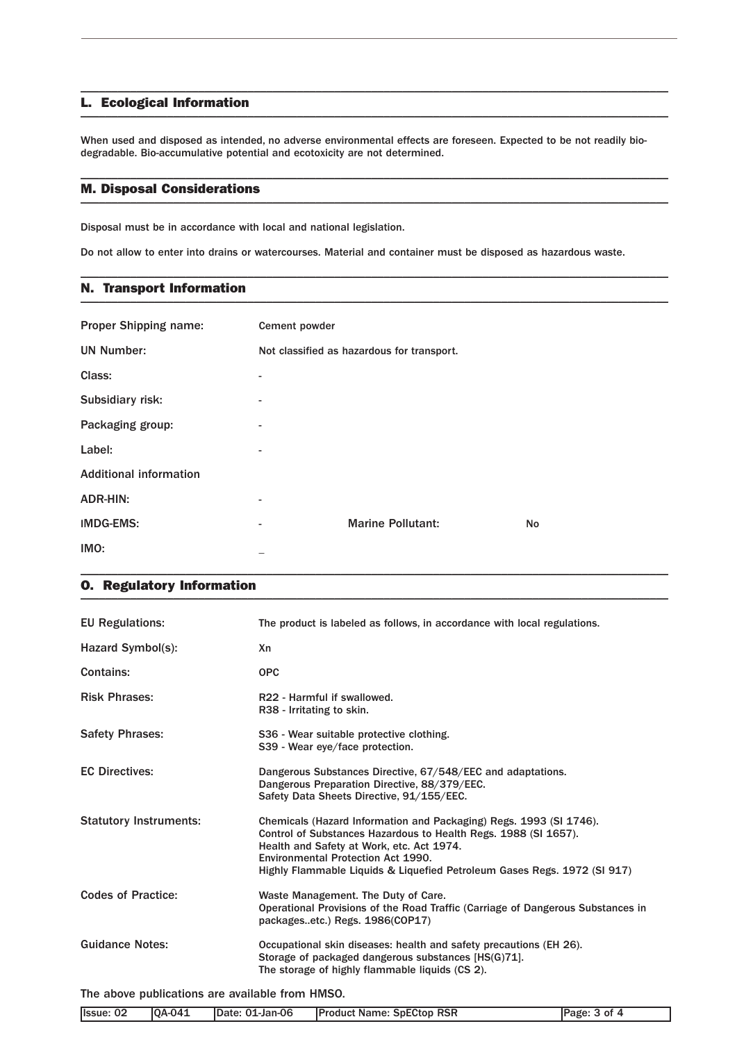#### L. Ecological Information \_\_\_\_\_\_\_\_\_\_\_\_\_\_\_\_\_\_\_\_\_\_\_\_\_\_\_\_\_\_\_\_\_\_\_\_\_\_\_\_\_\_\_\_\_\_\_\_\_\_\_\_\_\_\_\_\_\_\_\_\_\_\_\_\_\_\_\_\_\_\_\_\_\_\_\_\_\_\_\_\_\_\_\_\_\_\_\_\_\_\_\_\_\_\_

When used and disposed as intended, no adverse environmental effects are foreseen. Expected to be not readily biodegradable. Bio-accumulative potential and ecotoxicity are not determined.

\_\_\_\_\_\_\_\_\_\_\_\_\_\_\_\_\_\_\_\_\_\_\_\_\_\_\_\_\_\_\_\_\_\_\_\_\_\_\_\_\_\_\_\_\_\_\_\_\_\_\_\_\_\_\_\_\_\_\_\_\_\_\_\_\_\_\_\_\_\_\_\_\_\_\_\_\_\_\_\_\_\_\_\_\_\_\_\_\_\_\_\_\_\_\_

\_\_\_\_\_\_\_\_\_\_\_\_\_\_\_\_\_\_\_\_\_\_\_\_\_\_\_\_\_\_\_\_\_\_\_\_\_\_\_\_\_\_\_\_\_\_\_\_\_\_\_\_\_\_\_\_\_\_\_\_\_\_\_\_\_\_\_\_\_\_\_\_\_\_\_\_\_\_\_\_\_\_\_\_\_\_\_\_\_\_\_\_\_\_\_

\_\_\_\_\_\_\_\_\_\_\_\_\_\_\_\_\_\_\_\_\_\_\_\_\_\_\_\_\_\_\_\_\_\_\_\_\_\_\_\_\_\_\_\_\_\_\_\_\_\_\_\_\_\_\_\_\_\_\_\_\_\_\_\_\_\_\_\_\_\_\_\_\_\_\_\_\_\_\_\_\_\_\_\_\_\_\_\_\_\_\_\_\_\_\_

#### M. Disposal Considerations \_\_\_\_\_\_\_\_\_\_\_\_\_\_\_\_\_\_\_\_\_\_\_\_\_\_\_\_\_\_\_\_\_\_\_\_\_\_\_\_\_\_\_\_\_\_\_\_\_\_\_\_\_\_\_\_\_\_\_\_\_\_\_\_\_\_\_\_\_\_\_\_\_\_\_\_\_\_\_\_\_\_\_\_\_\_\_\_\_\_\_\_\_\_\_

Disposal must be in accordance with local and national legislation.

Do not allow to enter into drains or watercourses. Material and container must be disposed as hazardous waste.

### N. Transport Information \_\_\_\_\_\_\_\_\_\_\_\_\_\_\_\_\_\_\_\_\_\_\_\_\_\_\_\_\_\_\_\_\_\_\_\_\_\_\_\_\_\_\_\_\_\_\_\_\_\_\_\_\_\_\_\_\_\_\_\_\_\_\_\_\_\_\_\_\_\_\_\_\_\_\_\_\_\_\_\_\_\_\_\_\_\_\_\_\_\_\_\_\_\_\_

| <b>Proper Shipping name:</b>  | Cement powder            |                                            |    |
|-------------------------------|--------------------------|--------------------------------------------|----|
| <b>UN Number:</b>             |                          | Not classified as hazardous for transport. |    |
| Class:                        |                          |                                            |    |
| Subsidiary risk:              | $\overline{\phantom{0}}$ |                                            |    |
| Packaging group:              | $\overline{a}$           |                                            |    |
| Label:                        | ۰.                       |                                            |    |
| <b>Additional information</b> |                          |                                            |    |
| <b>ADR-HIN:</b>               | ۰.                       |                                            |    |
| <b>IMDG-EMS:</b>              | -                        | <b>Marine Pollutant:</b>                   | No |
| IMO:                          |                          |                                            |    |

\_\_\_\_\_\_\_\_\_\_\_\_\_\_\_\_\_\_\_\_\_\_\_\_\_\_\_\_\_\_\_\_\_\_\_\_\_\_\_\_\_\_\_\_\_\_\_\_\_\_\_\_\_\_\_\_\_\_\_\_\_\_\_\_\_\_\_\_\_\_\_\_\_\_\_\_\_\_\_\_\_\_\_\_\_\_\_\_\_\_\_\_\_\_\_

### O. Regulatory Information \_\_\_\_\_\_\_\_\_\_\_\_\_\_\_\_\_\_\_\_\_\_\_\_\_\_\_\_\_\_\_\_\_\_\_\_\_\_\_\_\_\_\_\_\_\_\_\_\_\_\_\_\_\_\_\_\_\_\_\_\_\_\_\_\_\_\_\_\_\_\_\_\_\_\_\_\_\_\_\_\_\_\_\_\_\_\_\_\_\_\_\_\_\_\_

| <b>EU Regulations:</b>        | The product is labeled as follows, in accordance with local regulations.                                                                                                                                                                                                                             |
|-------------------------------|------------------------------------------------------------------------------------------------------------------------------------------------------------------------------------------------------------------------------------------------------------------------------------------------------|
| Hazard Symbol(s):             | Xn                                                                                                                                                                                                                                                                                                   |
| <b>Contains:</b>              | <b>OPC</b>                                                                                                                                                                                                                                                                                           |
| <b>Risk Phrases:</b>          | R22 - Harmful if swallowed.<br>R38 - Irritating to skin.                                                                                                                                                                                                                                             |
| <b>Safety Phrases:</b>        | S36 - Wear suitable protective clothing.<br>S39 - Wear eye/face protection.                                                                                                                                                                                                                          |
| <b>EC Directives:</b>         | Dangerous Substances Directive, 67/548/EEC and adaptations.<br>Dangerous Preparation Directive, 88/379/EEC.<br>Safety Data Sheets Directive, 91/155/EEC.                                                                                                                                             |
| <b>Statutory Instruments:</b> | Chemicals (Hazard Information and Packaging) Regs. 1993 (SI 1746).<br>Control of Substances Hazardous to Health Regs. 1988 (SI 1657).<br>Health and Safety at Work, etc. Act 1974.<br>Environmental Protection Act 1990.<br>Highly Flammable Liquids & Liquefied Petroleum Gases Regs. 1972 (SI 917) |
| <b>Codes of Practice:</b>     | Waste Management. The Duty of Care.<br>Operational Provisions of the Road Traffic (Carriage of Dangerous Substances in<br>packagesetc.) Regs. 1986(COP17)                                                                                                                                            |
| <b>Guidance Notes:</b>        | Occupational skin diseases: health and safety precautions (EH 26).<br>Storage of packaged dangerous substances [HS(G)71].<br>The storage of highly flammable liquids (CS 2).                                                                                                                         |

The above publications are available from HMSO.

| Ilssue: 02 | <b>QA-041</b> | Date: 01-Jan-06 | <b>SpECtop RSR</b><br><b>IProduct Name:</b> | ים CP<br>ΩŤ<br>azt |
|------------|---------------|-----------------|---------------------------------------------|--------------------|
|            |               |                 |                                             |                    |